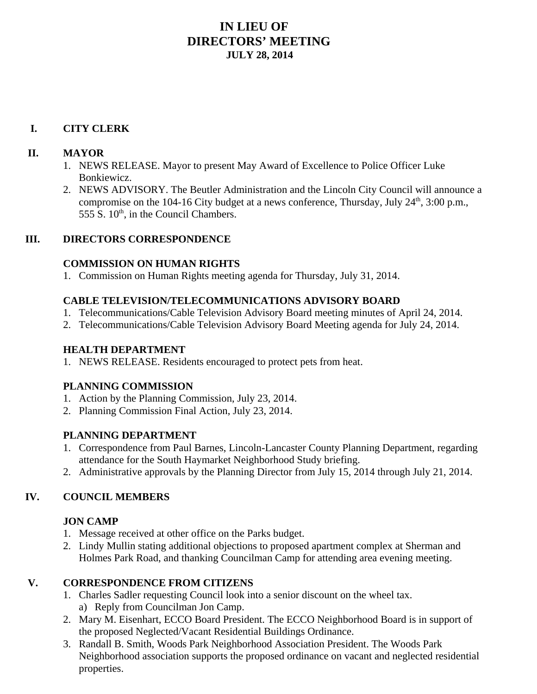# **IN LIEU OF DIRECTORS' MEETING JULY 28, 2014**

#### **I. CITY CLERK**

#### **II. MAYOR**

- 1. NEWS RELEASE. Mayor to present May Award of Excellence to Police Officer Luke Bonkiewicz.
- 2. NEWS ADVISORY. The Beutler Administration and the Lincoln City Council will announce a compromise on the 104-16 City budget at a news conference, Thursday, July  $24<sup>th</sup>$ ,  $3:00$  p.m., 555 S.  $10<sup>th</sup>$ , in the Council Chambers.

#### **III. DIRECTORS CORRESPONDENCE**

#### **COMMISSION ON HUMAN RIGHTS**

1. Commission on Human Rights meeting agenda for Thursday, July 31, 2014.

### **CABLE TELEVISION/TELECOMMUNICATIONS ADVISORY BOARD**

- 1. Telecommunications/Cable Television Advisory Board meeting minutes of April 24, 2014.
- 2. Telecommunications/Cable Television Advisory Board Meeting agenda for July 24, 2014.

#### **HEALTH DEPARTMENT**

1. NEWS RELEASE. Residents encouraged to protect pets from heat.

## **PLANNING COMMISSION**

- 1. Action by the Planning Commission, July 23, 2014.
- 2. Planning Commission Final Action, July 23, 2014.

#### **PLANNING DEPARTMENT**

- 1. Correspondence from Paul Barnes, Lincoln-Lancaster County Planning Department, regarding attendance for the South Haymarket Neighborhood Study briefing.
- 2. Administrative approvals by the Planning Director from July 15, 2014 through July 21, 2014.

## **IV. COUNCIL MEMBERS**

## **JON CAMP**

- 1. Message received at other office on the Parks budget.
- 2. Lindy Mullin stating additional objections to proposed apartment complex at Sherman and Holmes Park Road, and thanking Councilman Camp for attending area evening meeting.

## **V. CORRESPONDENCE FROM CITIZENS**

- 1. Charles Sadler requesting Council look into a senior discount on the wheel tax. a) Reply from Councilman Jon Camp.
- 2. Mary M. Eisenhart, ECCO Board President. The ECCO Neighborhood Board is in support of the proposed Neglected/Vacant Residential Buildings Ordinance.
- 3. Randall B. Smith, Woods Park Neighborhood Association President. The Woods Park Neighborhood association supports the proposed ordinance on vacant and neglected residential properties.